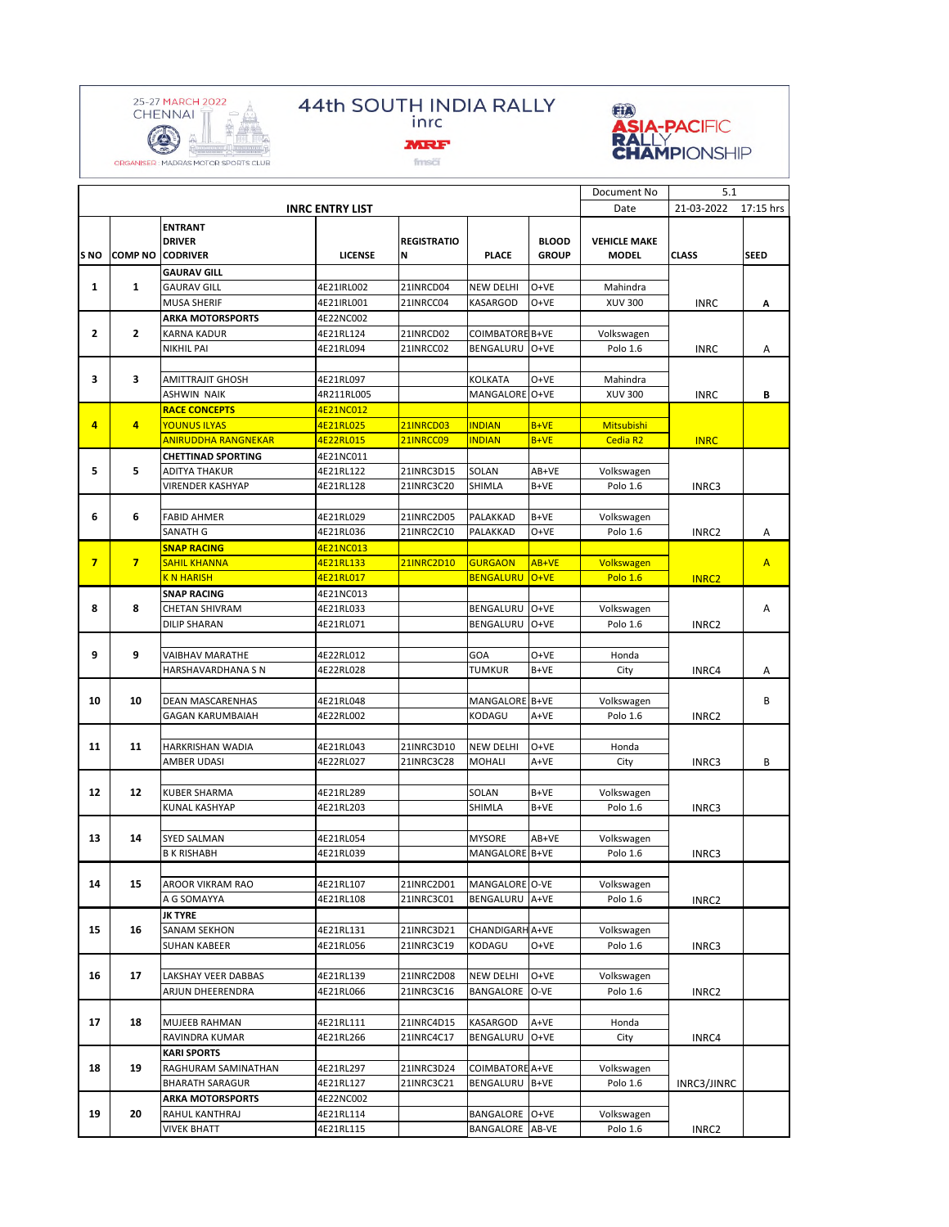

## 44th SOUTH INDIA RALLY<br>inrc



 ${\mathsf fms}\overline{{\mathsf c}}$ 



|                |                |                            |                        |                    |                        |              | Document No         | 5.1          |                |
|----------------|----------------|----------------------------|------------------------|--------------------|------------------------|--------------|---------------------|--------------|----------------|
|                |                |                            | <b>INRC ENTRY LIST</b> |                    |                        |              | Date                | 21-03-2022   | 17:15 hrs      |
|                |                | <b>ENTRANT</b>             |                        |                    |                        |              |                     |              |                |
|                |                | <b>DRIVER</b>              |                        | <b>REGISTRATIO</b> |                        | <b>BLOOD</b> | <b>VEHICLE MAKE</b> |              |                |
| S NO           | <b>COMP NO</b> | <b>CODRIVER</b>            | <b>LICENSE</b>         | N                  | <b>PLACE</b>           | <b>GROUP</b> | <b>MODEL</b>        | <b>CLASS</b> | <b>SEED</b>    |
|                |                | <b>GAURAV GILL</b>         |                        |                    |                        |              |                     |              |                |
| $\mathbf{1}$   | $\mathbf{1}$   | <b>GAURAV GILL</b>         | 4E21IRL002             | 21INRCD04          | <b>NEW DELHI</b>       | O+VE         | Mahindra            |              |                |
|                |                | <b>MUSA SHERIF</b>         | 4E21IRL001             | 21INRCC04          | KASARGOD               | $O+VE$       | <b>XUV 300</b>      | <b>INRC</b>  | А              |
|                |                | <b>ARKA MOTORSPORTS</b>    | 4E22NC002              |                    |                        |              |                     |              |                |
| $\mathbf{2}$   | $\overline{2}$ | <b>KARNA KADUR</b>         | 4E21RL124              | 21INRCD02          | <b>COIMBATORE B+VE</b> |              | Volkswagen          |              |                |
|                |                | <b>NIKHIL PAI</b>          | 4E21RL094              | 21INRCC02          | BENGALURU              | O+VE         | Polo 1.6            | <b>INRC</b>  | Α              |
|                |                |                            |                        |                    |                        |              |                     |              |                |
| 3              | 3              | <b>AMITTRAJIT GHOSH</b>    | 4E21RL097              |                    | <b>KOLKATA</b>         | $O+VE$       | Mahindra            |              |                |
|                |                | <b>ASHWIN NAIK</b>         | 4R211RL005             |                    | MANGALORE O+VE         |              | <b>XUV 300</b>      | <b>INRC</b>  | B              |
|                |                | <b>RACE CONCEPTS</b>       | 4E21NC012              |                    |                        |              |                     |              |                |
| 4              | $\overline{4}$ | <b>YOUNUS ILYAS</b>        | 4E21RL025              | 21INRCD03          | <b>INDIAN</b>          | $B+VE$       | <b>Mitsubishi</b>   |              |                |
|                |                | <b>ANIRUDDHA RANGNEKAR</b> | 4E22RL015              | 21INRCC09          | <b>INDIAN</b>          | $B+VE$       | Cedia R2            | <b>INRC</b>  |                |
| 5              |                | <b>CHETTINAD SPORTING</b>  | 4E21NC011              |                    |                        |              |                     |              |                |
|                | 5              | <b>ADITYA THAKUR</b>       | 4E21RL122              | 21INRC3D15         | SOLAN                  | AB+VE        | Volkswagen          |              |                |
|                |                | VIRENDER KASHYAP           | 4E21RL128              | 21INRC3C20         | SHIMLA                 | B+VE         | Polo 1.6            | INRC3        |                |
|                |                |                            |                        |                    |                        |              |                     |              |                |
| 6              | 6              | <b>FABID AHMER</b>         | 4E21RL029              | 21INRC2D05         | PALAKKAD               | $B+VE$       | Volkswagen          |              |                |
|                |                | SANATH G                   | 4E21RL036              | 21INRC2C10         | PALAKKAD               | $O+VE$       | Polo 1.6            | INRC2        | А              |
|                |                | <b>SNAP RACING</b>         | 4E21NC013              |                    |                        |              |                     |              |                |
| 7 <sup>1</sup> | 7 <sup>1</sup> | <b>SAHIL KHANNA</b>        | 4E21RL133              | 21INRC2D10         | <b>GURGAON</b>         | AB+VE        | Volkswagen          |              | $\overline{A}$ |
|                |                | <b>K N HARISH</b>          | 4E21RL017              |                    | <b>BENGALURU</b>       | $O+VE$       | <b>Polo 1.6</b>     | <b>INRC2</b> |                |
|                |                | <b>SNAP RACING</b>         | 4E21NC013              |                    |                        |              |                     |              |                |
| 8              | 8              | <b>CHETAN SHIVRAM</b>      | 4E21RL033              |                    | BENGALURU              | O+VE         | Volkswagen          |              | Α              |
|                |                | <b>DILIP SHARAN</b>        | 4E21RL071              |                    | BENGALURU              | $O+VE$       | Polo 1.6            | INRC2        |                |
|                |                |                            |                        |                    |                        |              |                     |              |                |
| 9              | 9              | VAIBHAV MARATHE            | 4E22RL012              |                    | GOA                    | O+VE         | Honda               |              |                |
|                |                | HARSHAVARDHANA S N         | 4E22RL028              |                    | TUMKUR                 | B+VE         | City                | INRC4        | А              |
|                |                |                            |                        |                    |                        |              |                     |              |                |
| 10             | 10             | <b>DEAN MASCARENHAS</b>    | 4E21RL048              |                    | MANGALORE B+VE         |              | Volkswagen          |              | B              |
|                |                | <b>GAGAN KARUMBAIAH</b>    | 4E22RL002              |                    | KODAGU                 | A+VE         | Polo 1.6            | INRC2        |                |
|                |                |                            |                        |                    |                        |              |                     |              |                |
| 11             | 11             | HARKRISHAN WADIA           | 4E21RL043              | 21INRC3D10         | <b>NEW DELHI</b>       | O+VE         | Honda               |              |                |
|                |                | AMBER UDASI                | 4E22RL027              | 21INRC3C28         | <b>MOHALI</b>          | A+VE         | City                | INRC3        | B              |
|                |                |                            |                        |                    |                        |              |                     |              |                |
| 12             | 12             | <b>KUBER SHARMA</b>        | 4E21RL289              |                    | SOLAN                  | B+VE         | Volkswagen          |              |                |
|                |                | <b>KUNAL KASHYAP</b>       | 4E21RL203              |                    | SHIMLA                 | B+VE         | Polo 1.6            | INRC3        |                |
|                |                |                            |                        |                    |                        |              |                     |              |                |
| 13             | 14             | <b>SYED SALMAN</b>         | 4E21RL054              |                    | <b>MYSORE</b>          | AB+VE        | Volkswagen          |              |                |
|                |                | <b>B K RISHABH</b>         | 4E21RL039              |                    | MANGALORE B+VE         |              | Polo 1.6            | INRC3        |                |
|                |                |                            |                        |                    |                        |              |                     |              |                |
| 14             | 15             | AROOR VIKRAM RAO           | 4E21RL107              | 21INRC2D01         | MANGALORE O-VE         |              | Volkswagen          |              |                |
|                |                | A G SOMAYYA                | 4E21RL108              | 21INRC3C01         | BENGALURU A+VE         |              | Polo 1.6            | INRC2        |                |
|                | 16             | <b>JK TYRE</b>             |                        |                    |                        |              |                     |              |                |
| 15             |                | SANAM SEKHON               | 4E21RL131              | 21INRC3D21         | CHANDIGARH A+VE        |              | Volkswagen          |              |                |
|                |                | <b>SUHAN KABEER</b>        | 4E21RL056              | 21INRC3C19         | KODAGU                 | O+VE         | Polo 1.6            | INRC3        |                |
|                |                |                            |                        |                    |                        |              |                     |              |                |
| 16             | 17             | LAKSHAY VEER DABBAS        | 4E21RL139              | 21INRC2D08         | <b>NEW DELHI</b>       | O+VE         | Volkswagen          |              |                |
|                |                | ARJUN DHEERENDRA           | 4E21RL066              | 21INRC3C16         | BANGALORE              | O-VE         | Polo 1.6            | INRC2        |                |
|                | 18             |                            |                        |                    |                        |              |                     |              |                |
| 17             |                | MUJEEB RAHMAN              | 4E21RL111              | 21INRC4D15         | KASARGOD               | A+VE         | Honda               |              |                |
|                |                | RAVINDRA KUMAR             | 4E21RL266              | 21INRC4C17         | BENGALURU              | O+VE         | City                | INRC4        |                |
|                |                | <b>KARI SPORTS</b>         |                        |                    |                        |              |                     |              |                |
| 18             | 19             | RAGHURAM SAMINATHAN        | 4E21RL297              | 21INRC3D24         | COIMBATORE A+VE        |              | Volkswagen          |              |                |
|                |                | <b>BHARATH SARAGUR</b>     | 4E21RL127              | 21INRC3C21         | BENGALURU B+VE         |              | Polo 1.6            | INRC3/JINRC  |                |
|                |                | <b>ARKA MOTORSPORTS</b>    | 4E22NC002              |                    |                        |              |                     |              |                |
| 19             | 20             | RAHUL KANTHRAJ             | 4E21RL114              |                    | BANGALORE O+VE         |              | Volkswagen          |              |                |
|                |                | <b>VIVEK BHATT</b>         | 4E21RL115              |                    | BANGALORE AB-VE        |              | Polo 1.6            | INRC2        |                |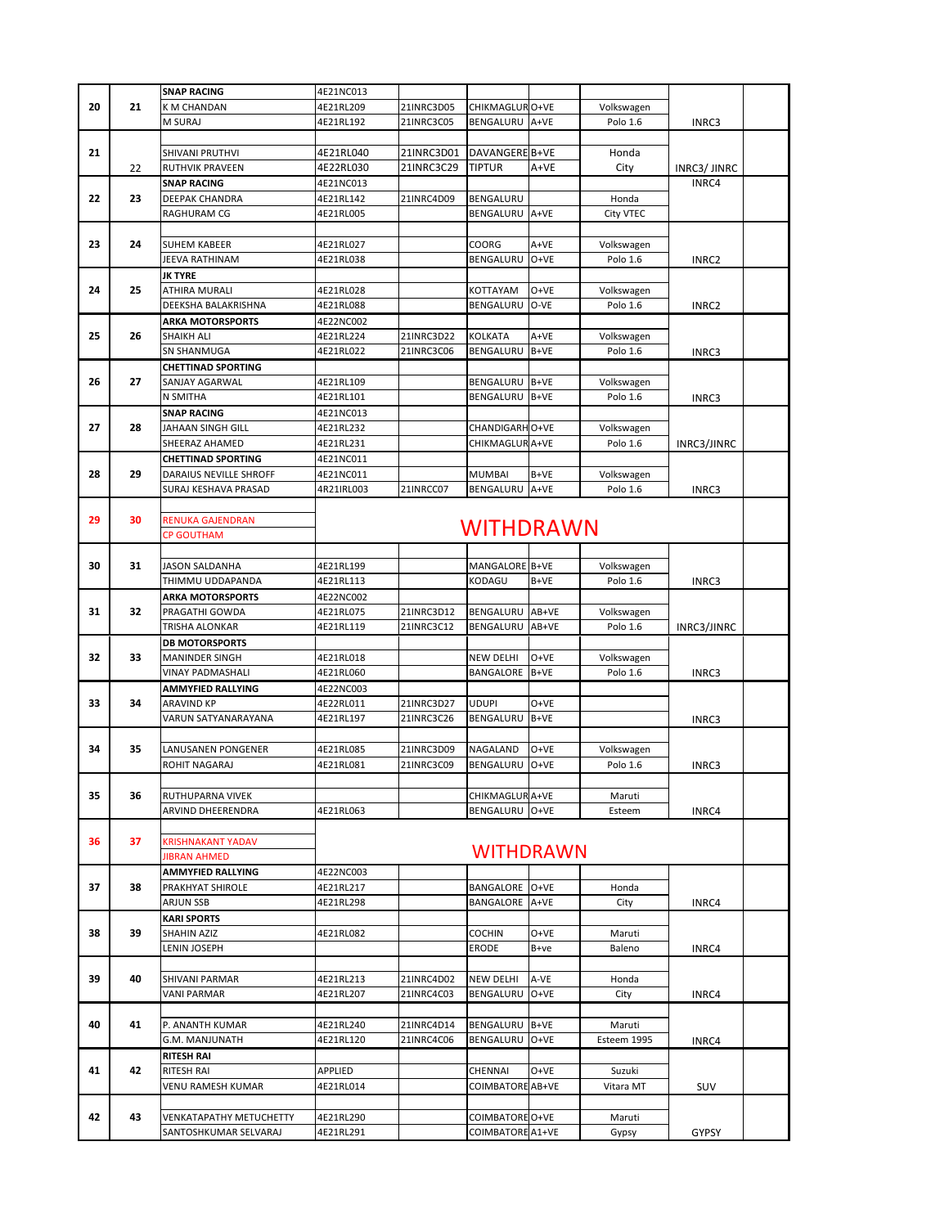|    |    | <b>SNAP RACING</b>             | 4E21NC013        |            |                  |        |             |              |  |  |
|----|----|--------------------------------|------------------|------------|------------------|--------|-------------|--------------|--|--|
| 20 | 21 | K M CHANDAN                    | 4E21RL209        | 21INRC3D05 | CHIKMAGLUR O+VE  |        | Volkswagen  |              |  |  |
|    |    | M SURAJ                        | 4E21RL192        | 21INRC3C05 | BENGALURU        | A+VE   | Polo 1.6    |              |  |  |
|    |    |                                |                  |            |                  |        |             | INRC3        |  |  |
|    |    |                                |                  |            |                  |        |             |              |  |  |
| 21 |    | SHIVANI PRUTHVI                | 4E21RL040        | 21INRC3D01 | DAVANGERE B+VE   |        | Honda       |              |  |  |
|    | 22 | RUTHVIK PRAVEEN                | 4E22RL030        | 21INRC3C29 | <b>TIPTUR</b>    | $A+VE$ | City        | INRC3/ JINRC |  |  |
|    |    | <b>SNAP RACING</b>             | 4E21NC013        |            |                  |        |             | INRC4        |  |  |
| 22 | 23 | DEEPAK CHANDRA                 | 4E21RL142        | 21INRC4D09 | BENGALURU        |        | Honda       |              |  |  |
|    |    | RAGHURAM CG                    | 4E21RL005        |            | BENGALURU        | A+VE   | City VTEC   |              |  |  |
|    |    |                                |                  |            |                  |        |             |              |  |  |
| 23 | 24 | SUHEM KABEER                   | 4E21RL027        |            | COORG            | A+VE   | Volkswagen  |              |  |  |
|    |    | JEEVA RATHINAM                 | 4E21RL038        |            | BENGALURU        | O+VE   | Polo 1.6    | INRC2        |  |  |
|    |    | <b>JK TYRE</b>                 |                  |            |                  |        |             |              |  |  |
| 24 | 25 | <b>ATHIRA MURALI</b>           | 4E21RL028        |            |                  | O+VE   | Volkswagen  |              |  |  |
|    |    |                                |                  |            | KOTTAYAM         |        |             |              |  |  |
|    |    | DEEKSHA BALAKRISHNA            | 4E21RL088        |            | BENGALURU        | O-VE   | Polo 1.6    | INRC2        |  |  |
|    |    | <b>ARKA MOTORSPORTS</b>        | 4E22NC002        |            |                  |        |             |              |  |  |
| 25 | 26 | SHAIKH ALI                     | 4E21RL224        | 21INRC3D22 | <b>KOLKATA</b>   | A+VE   | Volkswagen  |              |  |  |
|    |    | SN SHANMUGA                    | 4E21RL022        | 21INRC3C06 | BENGALURU        | B+VE   | Polo 1.6    | INRC3        |  |  |
|    |    | <b>CHETTINAD SPORTING</b>      |                  |            |                  |        |             |              |  |  |
| 26 | 27 | SANJAY AGARWAL                 | 4E21RL109        |            | BENGALURU        | B+VE   | Volkswagen  |              |  |  |
|    |    | N SMITHA                       | 4E21RL101        |            | BENGALURU        | B+VE   | Polo 1.6    | INRC3        |  |  |
|    |    | <b>SNAP RACING</b>             | 4E21NC013        |            |                  |        |             |              |  |  |
| 27 | 28 | JAHAAN SINGH GILL              | 4E21RL232        |            | CHANDIGARH O+VE  |        | Volkswagen  |              |  |  |
|    |    | SHEERAZ AHAMED                 | 4E21RL231        |            | CHIKMAGLUR A+VE  |        | Polo 1.6    | INRC3/JINRC  |  |  |
|    |    | <b>CHETTINAD SPORTING</b>      | 4E21NC011        |            |                  |        |             |              |  |  |
| 28 | 29 | DARAIUS NEVILLE SHROFF         | 4E21NC011        |            | <b>MUMBAI</b>    | B+VE   | Volkswagen  |              |  |  |
|    |    | SURAJ KESHAVA PRASAD           |                  |            |                  |        |             |              |  |  |
|    |    |                                | 4R21IRL003       | 21INRCC07  | BENGALURU        | A+VE   | Polo 1.6    | INRC3        |  |  |
|    |    |                                |                  |            |                  |        |             |              |  |  |
| 29 | 30 | RENUKA GAJENDRAN               |                  |            | <b>WITHDRAWN</b> |        |             |              |  |  |
|    |    | <b>CP GOUTHAM</b>              |                  |            |                  |        |             |              |  |  |
|    |    |                                |                  |            |                  |        |             |              |  |  |
| 30 | 31 | JASON SALDANHA                 | 4E21RL199        |            | MANGALORE B+VE   |        | Volkswagen  |              |  |  |
|    |    | THIMMU UDDAPANDA               | 4E21RL113        |            | KODAGU           | B+VE   | Polo 1.6    | INRC3        |  |  |
|    |    | <b>ARKA MOTORSPORTS</b>        | 4E22NC002        |            |                  |        |             |              |  |  |
| 31 | 32 | PRAGATHI GOWDA                 | 4E21RL075        | 21INRC3D12 | BENGALURU        | AB+VE  | Volkswagen  |              |  |  |
|    |    | TRISHA ALONKAR                 | 4E21RL119        | 21INRC3C12 | BENGALURU        | AB+VE  | Polo 1.6    | INRC3/JINRC  |  |  |
|    |    | <b>DB MOTORSPORTS</b>          |                  |            |                  |        |             |              |  |  |
|    |    |                                |                  |            |                  |        |             |              |  |  |
| 32 | 33 | <b>MANINDER SINGH</b>          | 4E21RL018        |            | NEW DELHI        | O+VE   | Volkswagen  |              |  |  |
|    |    | VINAY PADMASHALI               | 4E21RL060        |            | BANGALORE        | B+VE   | Polo 1.6    | INRC3        |  |  |
|    |    | <b>AMMYFIED RALLYING</b>       | 4E22NC003        |            |                  |        |             |              |  |  |
| 33 | 34 | ARAVIND KP                     | 4E22RL011        | 21INRC3D27 | <b>UDUPI</b>     | O+VE   |             |              |  |  |
|    |    | VARUN SATYANARAYANA            | 4E21RL197        | 21INRC3C26 | BENGALURU        | B+VE   |             | INRC3        |  |  |
|    |    |                                |                  |            |                  |        |             |              |  |  |
| 34 | 35 | LANUSANEN PONGENER             | 4E21RL085        | 21INRC3D09 | NAGALAND         | O+VE   | Volkswagen  |              |  |  |
|    |    | ROHIT NAGARAJ                  | 4E21RL081        | 21INRC3C09 | BENGALURU        | $O+VE$ | Polo 1.6    | INRC3        |  |  |
|    |    |                                |                  |            |                  |        |             |              |  |  |
| 35 | 36 | RUTHUPARNA VIVEK               |                  |            | CHIKMAGLUR A+VE  |        | Maruti      |              |  |  |
|    |    | ARVIND DHEERENDRA              | 4E21RL063        |            | BENGALURU O+VE   |        | Esteem      | INRC4        |  |  |
|    |    |                                |                  |            |                  |        |             |              |  |  |
| 36 | 37 | <b>KRISHNAKANT YADAV</b>       |                  |            |                  |        |             |              |  |  |
|    |    | <b>JIBRAN AHMED</b>            | <b>WITHDRAWN</b> |            |                  |        |             |              |  |  |
|    |    |                                |                  |            |                  |        |             |              |  |  |
|    |    | AMMYFIED RALLYING              | 4E22NC003        |            |                  |        |             |              |  |  |
| 37 | 38 | PRAKHYAT SHIROLE               | 4E21RL217        |            | BANGALORE        | O+VE   | Honda       |              |  |  |
|    |    | ARJUN SSB                      | 4E21RL298        |            | BANGALORE A+VE   |        | City        | INRC4        |  |  |
|    |    | <b>KARI SPORTS</b>             |                  |            |                  |        |             |              |  |  |
| 38 | 39 | SHAHIN AZIZ                    | 4E21RL082        |            | <b>COCHIN</b>    | O+VE   | Maruti      |              |  |  |
|    |    | ENIN JOSEPH.                   |                  |            | ERODE            | B+ve   | Baleno      | INRC4        |  |  |
|    |    |                                |                  |            |                  |        |             |              |  |  |
| 39 | 40 | SHIVANI PARMAR                 | 4E21RL213        | 21INRC4D02 | <b>NEW DELHI</b> | A-VE   | Honda       |              |  |  |
|    |    | VANI PARMAR                    | 4E21RL207        | 21INRC4C03 | BENGALURU        | O+VE   | City        | INRC4        |  |  |
|    |    |                                |                  |            |                  |        |             |              |  |  |
|    |    |                                |                  |            |                  |        |             |              |  |  |
| 40 | 41 | P. ANANTH KUMAR                | 4E21RL240        | 21INRC4D14 | BENGALURU        | B+VE   | Maruti      |              |  |  |
|    |    | G.M. MANJUNATH                 | 4E21RL120        | 21INRC4C06 | BENGALURU        | O+VE   | Esteem 1995 | INRC4        |  |  |
|    |    | <b>RITESH RAI</b>              |                  |            |                  |        |             |              |  |  |
| 41 | 42 | RITESH RAI                     | APPLIED          |            | CHENNAI          | O+VE   | Suzuki      |              |  |  |
|    |    | VENU RAMESH KUMAR              | 4E21RL014        |            | COIMBATORE       | AB+VE  | Vitara MT   | SUV          |  |  |
|    |    |                                |                  |            |                  |        |             |              |  |  |
| 42 | 43 | <b>VENKATAPATHY METUCHETTY</b> | 4E21RL290        |            | COIMBATORE O+VE  |        | Maruti      |              |  |  |
|    |    | SANTOSHKUMAR SELVARAJ          | 4E21RL291        |            | COIMBATORE A1+VE |        | Gypsy       | GYPSY        |  |  |
|    |    |                                |                  |            |                  |        |             |              |  |  |